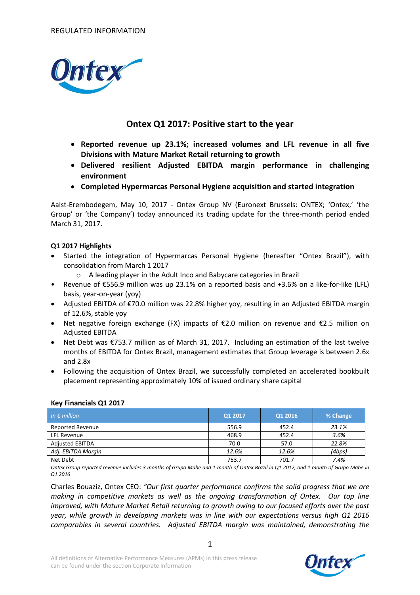

## **Ontex Q1 2017: Positive start to the year**

- **Reported revenue up 23.1%; increased volumes and LFL revenue in all five Divisions with Mature Market Retail returning to growth**
- **Delivered resilient Adjusted EBITDA margin performance in challenging environment**
- **Completed Hypermarcas Personal Hygiene acquisition and started integration**

Aalst-Erembodegem, May 10, 2017 - Ontex Group NV (Euronext Brussels: ONTEX; 'Ontex,' 'the Group' or 'the Company') today announced its trading update for the three-month period ended March 31, 2017.

### **Q1 2017 Highlights**

- Started the integration of Hypermarcas Personal Hygiene (hereafter "Ontex Brazil"), with consolidation from March 1 2017
	- o A leading player in the Adult Inco and Babycare categories in Brazil
- Revenue of €556.9 million was up 23.1% on a reported basis and +3.6% on a like-for-like (LFL) basis, year-on-year (yoy)
- Adjusted EBITDA of €70.0 million was 22.8% higher yoy, resulting in an Adjusted EBITDA margin of 12.6%, stable yoy
- Net negative foreign exchange (FX) impacts of €2.0 million on revenue and €2.5 million on Adjusted EBITDA
- Net Debt was €753.7 million as of March 31, 2017. Including an estimation of the last twelve months of EBITDA for Ontex Brazil, management estimates that Group leverage is between 2.6x and 2.8x
- Following the acquisition of Ontex Brazil, we successfully completed an accelerated bookbuilt placement representing approximately 10% of issued ordinary share capital

### **Key Financials Q1 2017**

| In $\epsilon$ million   | Q1 2017 | Q1 2016 | % Change |
|-------------------------|---------|---------|----------|
| <b>Reported Revenue</b> | 556.9   | 452.4   | 23.1%    |
| <b>LFL Revenue</b>      | 468.9   | 452.4   | 3.6%     |
| <b>Adjusted EBITDA</b>  | 70.0    | 57.0    | 22.8%    |
| Adj. EBITDA Margin      | 12.6%   | 12.6%   | (4bps)   |
| Net Debt                | 753.7   | 701.7   | 7.4%     |

*Ontex Group reported revenue includes 3 months of Grupo Mabe and 1 month of Ontex Brazil in Q1 2017, and 1 month of Grupo Mabe in Q1 2016*

Charles Bouaziz, Ontex CEO: *"Our first quarter performance confirms the solid progress that we are making in competitive markets as well as the ongoing transformation of Ontex. Our top line improved, with Mature Market Retail returning to growth owing to our focused efforts over the past year, while growth in developing markets was in line with our expectations versus high Q1 2016 comparables in several countries. Adjusted EBITDA margin was maintained, demonstrating the* 

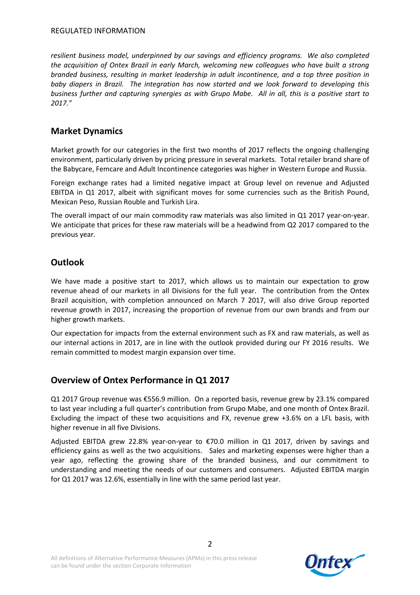*resilient business model, underpinned by our savings and efficiency programs. We also completed the acquisition of Ontex Brazil in early March, welcoming new colleagues who have built a strong branded business, resulting in market leadership in adult incontinence, and a top three position in baby diapers in Brazil. The integration has now started and we look forward to developing this business further and capturing synergies as with Grupo Mabe. All in all, this is a positive start to 2017."*

# **Market Dynamics**

Market growth for our categories in the first two months of 2017 reflects the ongoing challenging environment, particularly driven by pricing pressure in several markets. Total retailer brand share of the Babycare, Femcare and Adult Incontinence categories was higher in Western Europe and Russia.

Foreign exchange rates had a limited negative impact at Group level on revenue and Adjusted EBITDA in Q1 2017, albeit with significant moves for some currencies such as the British Pound, Mexican Peso, Russian Rouble and Turkish Lira.

The overall impact of our main commodity raw materials was also limited in Q1 2017 year-on-year. We anticipate that prices for these raw materials will be a headwind from Q2 2017 compared to the previous year.

# **Outlook**

We have made a positive start to 2017, which allows us to maintain our expectation to grow revenue ahead of our markets in all Divisions for the full year. The contribution from the Ontex Brazil acquisition, with completion announced on March 7 2017, will also drive Group reported revenue growth in 2017, increasing the proportion of revenue from our own brands and from our higher growth markets.

Our expectation for impacts from the external environment such as FX and raw materials, as well as our internal actions in 2017, are in line with the outlook provided during our FY 2016 results. We remain committed to modest margin expansion over time.

# **Overview of Ontex Performance in Q1 2017**

Q1 2017 Group revenue was €556.9 million. On a reported basis, revenue grew by 23.1% compared to last year including a full quarter's contribution from Grupo Mabe, and one month of Ontex Brazil. Excluding the impact of these two acquisitions and FX, revenue grew +3.6% on a LFL basis, with higher revenue in all five Divisions.

Adjusted EBITDA grew 22.8% year-on-year to €70.0 million in Q1 2017, driven by savings and efficiency gains as well as the two acquisitions. Sales and marketing expenses were higher than a year ago, reflecting the growing share of the branded business, and our commitment to understanding and meeting the needs of our customers and consumers. Adjusted EBITDA margin for Q1 2017 was 12.6%, essentially in line with the same period last year.

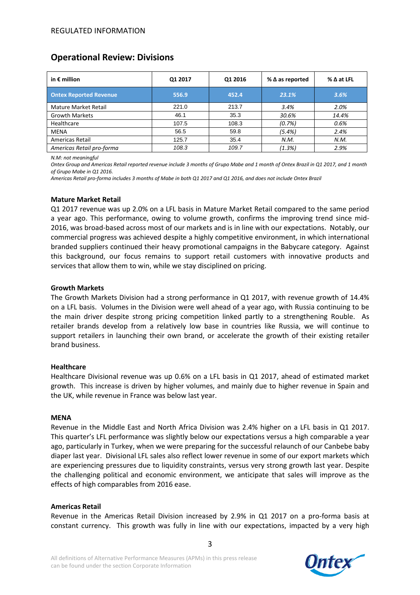## **Operational Review: Divisions**

| in $\epsilon$ million         | Q1 2017 | Q1 2016 | $%$ $\Delta$ as reported | $%$ $\Delta$ at LFL |
|-------------------------------|---------|---------|--------------------------|---------------------|
| <b>Ontex Reported Revenue</b> | 556.9   | 452.4   | 23.1%                    | 3.6%                |
| Mature Market Retail          | 221.0   | 213.7   | 3.4%                     | 2.0%                |
| <b>Growth Markets</b>         | 46.1    | 35.3    | 30.6%                    | 14.4%               |
| Healthcare                    | 107.5   | 108.3   | (0.7%)                   | 0.6%                |
| <b>MENA</b>                   | 56.5    | 59.8    | (5.4%)                   | 2.4%                |
| Americas Retail               | 125.7   | 35.4    | N.M.                     | N.M.                |
| Americas Retail pro-forma     | 108.3   | 109.7   | (1.3%)                   | 2.9%                |

*N.M: not meaningful*

*Ontex Group and Americas Retail reported revenue include 3 months of Grupo Mabe and 1 month of Ontex Brazil in Q1 2017, and 1 month of Grupo Mabe in Q1 2016.*

*Americas Retail pro-forma includes 3 months of Mabe in both Q1 2017 and Q1 2016, and does not include Ontex Brazil* 

#### **Mature Market Retail**

Q1 2017 revenue was up 2.0% on a LFL basis in Mature Market Retail compared to the same period a year ago. This performance, owing to volume growth, confirms the improving trend since mid-2016, was broad-based across most of our markets and is in line with our expectations. Notably, our commercial progress was achieved despite a highly competitive environment, in which international branded suppliers continued their heavy promotional campaigns in the Babycare category. Against this background, our focus remains to support retail customers with innovative products and services that allow them to win, while we stay disciplined on pricing.

#### **Growth Markets**

The Growth Markets Division had a strong performance in Q1 2017, with revenue growth of 14.4% on a LFL basis. Volumes in the Division were well ahead of a year ago, with Russia continuing to be the main driver despite strong pricing competition linked partly to a strengthening Rouble. As retailer brands develop from a relatively low base in countries like Russia, we will continue to support retailers in launching their own brand, or accelerate the growth of their existing retailer brand business.

### **Healthcare**

Healthcare Divisional revenue was up 0.6% on a LFL basis in Q1 2017, ahead of estimated market growth. This increase is driven by higher volumes, and mainly due to higher revenue in Spain and the UK, while revenue in France was below last year.

#### **MENA**

Revenue in the Middle East and North Africa Division was 2.4% higher on a LFL basis in Q1 2017. This quarter's LFL performance was slightly below our expectations versus a high comparable a year ago, particularly in Turkey, when we were preparing for the successful relaunch of our Canbebe baby diaper last year. Divisional LFL sales also reflect lower revenue in some of our export markets which are experiencing pressures due to liquidity constraints, versus very strong growth last year. Despite the challenging political and economic environment, we anticipate that sales will improve as the effects of high comparables from 2016 ease.

### **Americas Retail**

Revenue in the Americas Retail Division increased by 2.9% in Q1 2017 on a pro-forma basis at constant currency. This growth was fully in line with our expectations, impacted by a very high

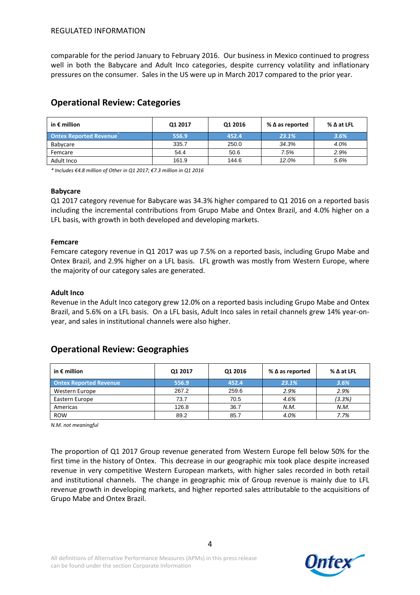comparable for the period January to February 2016. Our business in Mexico continued to progress well in both the Babycare and Adult Inco categories, despite currency volatility and inflationary pressures on the consumer. Sales in the US were up in March 2017 compared to the prior year.

| in $\epsilon$ million         | Q1 2017 | Q1 2016 | % $\Delta$ as reported | $\%$ $\Delta$ at LFL |
|-------------------------------|---------|---------|------------------------|----------------------|
| <b>Ontex Reported Revenue</b> | 556.9   | 452.4   | 23.1%                  | 3.6%                 |
| Babycare                      | 335.7   | 250.0   | 34.3%                  | 4.0%                 |
| Femcare                       | 54.4    | 50.6    | 7.5%                   | 2.9%                 |
| Adult Inco                    | 161.9   | 144.6   | 12.0%                  | 5.6%                 |

# **Operational Review: Categories**

*\* Includes €4.8 million of Other in Q1 2017; €7.3 million in Q1 2016*

### **Babycare**

Q1 2017 category revenue for Babycare was 34.3% higher compared to Q1 2016 on a reported basis including the incremental contributions from Grupo Mabe and Ontex Brazil, and 4.0% higher on a LFL basis, with growth in both developed and developing markets.

### **Femcare**

Femcare category revenue in Q1 2017 was up 7.5% on a reported basis, including Grupo Mabe and Ontex Brazil, and 2.9% higher on a LFL basis. LFL growth was mostly from Western Europe, where the majority of our category sales are generated.

### **Adult Inco**

Revenue in the Adult Inco category grew 12.0% on a reported basis including Grupo Mabe and Ontex Brazil, and 5.6% on a LFL basis. On a LFL basis, Adult Inco sales in retail channels grew 14% year-onyear, and sales in institutional channels were also higher.

## **Operational Review: Geographies**

| in $\epsilon$ million         | Q1 2017 | Q1 2016 | $%$ $\Delta$ as reported | $\%$ $\Delta$ at LFL |
|-------------------------------|---------|---------|--------------------------|----------------------|
| <b>Ontex Reported Revenue</b> | 556.9   | 452.4   | 23.1%                    | 3.6%                 |
| Western Europe                | 267.2   | 259.6   | 2.9%                     | 2.9%                 |
| Eastern Europe                | 73.7    | 70.5    | 4.6%                     | (3.3%)               |
| Americas                      | 126.8   | 36.7    | N.M.                     | N.M.                 |
| <b>ROW</b>                    | 89.2    | 85.7    | 4.0%                     | 7.7%                 |

*N.M. not meaningful*

The proportion of Q1 2017 Group revenue generated from Western Europe fell below 50% for the first time in the history of Ontex. This decrease in our geographic mix took place despite increased revenue in very competitive Western European markets, with higher sales recorded in both retail and institutional channels. The change in geographic mix of Group revenue is mainly due to LFL revenue growth in developing markets, and higher reported sales attributable to the acquisitions of Grupo Mabe and Ontex Brazil.

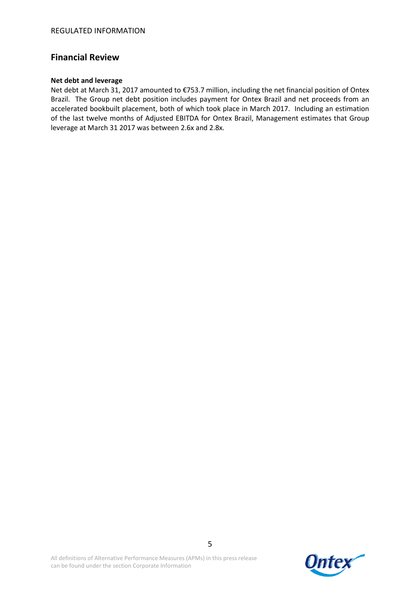## **Financial Review**

### **Net debt and leverage**

Net debt at March 31, 2017 amounted to €753.7 million, including the net financial position of Ontex Brazil. The Group net debt position includes payment for Ontex Brazil and net proceeds from an accelerated bookbuilt placement, both of which took place in March 2017. Including an estimation of the last twelve months of Adjusted EBITDA for Ontex Brazil, Management estimates that Group leverage at March 31 2017 was between 2.6x and 2.8x.

All definitions of Alternative Performance Measures (APMs) in this press release can be found under the section Corporate Information

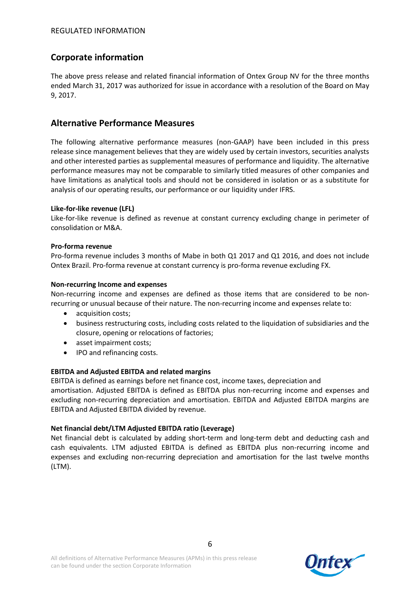# **Corporate information**

The above press release and related financial information of Ontex Group NV for the three months ended March 31, 2017 was authorized for issue in accordance with a resolution of the Board on May 9, 2017.

## **Alternative Performance Measures**

The following alternative performance measures (non-GAAP) have been included in this press release since management believes that they are widely used by certain investors, securities analysts and other interested parties as supplemental measures of performance and liquidity. The alternative performance measures may not be comparable to similarly titled measures of other companies and have limitations as analytical tools and should not be considered in isolation or as a substitute for analysis of our operating results, our performance or our liquidity under IFRS.

### **Like-for-like revenue (LFL)**

Like-for-like revenue is defined as revenue at constant currency excluding change in perimeter of consolidation or M&A.

### **Pro-forma revenue**

Pro-forma revenue includes 3 months of Mabe in both Q1 2017 and Q1 2016, and does not include Ontex Brazil. Pro-forma revenue at constant currency is pro-forma revenue excluding FX.

### **Non-recurring Income and expenses**

Non-recurring income and expenses are defined as those items that are considered to be nonrecurring or unusual because of their nature. The non-recurring income and expenses relate to:

- acquisition costs;
- business restructuring costs, including costs related to the liquidation of subsidiaries and the closure, opening or relocations of factories;
- asset impairment costs;
- IPO and refinancing costs.

### **EBITDA and Adjusted EBITDA and related margins**

EBITDA is defined as earnings before net finance cost, income taxes, depreciation and amortisation. Adjusted EBITDA is defined as EBITDA plus non-recurring income and expenses and excluding non-recurring depreciation and amortisation. EBITDA and Adjusted EBITDA margins are EBITDA and Adjusted EBITDA divided by revenue.

### **Net financial debt/LTM Adjusted EBITDA ratio (Leverage)**

Net financial debt is calculated by adding short-term and long-term debt and deducting cash and cash equivalents. LTM adjusted EBITDA is defined as EBITDA plus non-recurring income and expenses and excluding non-recurring depreciation and amortisation for the last twelve months (LTM).

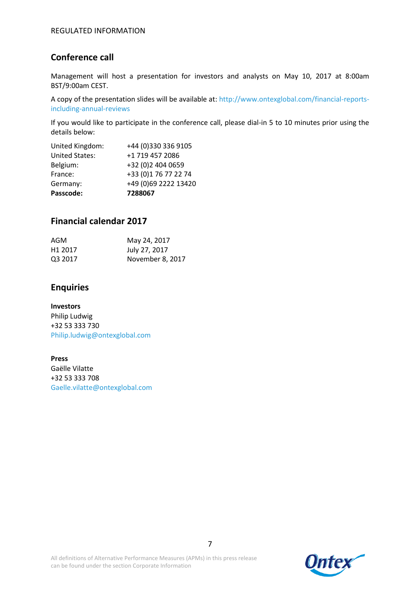# **Conference call**

Management will host a presentation for investors and analysts on May 10, 2017 at 8:00am BST/9:00am CEST.

A copy of the presentation slides will be available at: http://www.ontexglobal.com/financial-reportsincluding-annual-reviews

If you would like to participate in the conference call, please dial-in 5 to 10 minutes prior using the details below:

| Passcode:             | 7288067              |
|-----------------------|----------------------|
| Germany:              | +49 (0)69 2222 13420 |
| France:               | +33 (0)1 76 77 22 74 |
| Belgium:              | +32 (0)2 404 0659    |
| <b>United States:</b> | +1 719 457 2086      |
| United Kingdom:       | +44 (0)330 336 9105  |

## **Financial calendar 2017**

| AGM                 | May 24, 2017     |
|---------------------|------------------|
| H <sub>1</sub> 2017 | July 27, 2017    |
| Q3 2017             | November 8, 2017 |

# **Enquiries**

**Investors** Philip Ludwig +32 53 333 730 Philip.ludwig@ontexglobal.com

**Press** Gaëlle Vilatte +32 53 333 708 Gaelle.vilatte@ontexglobal.com